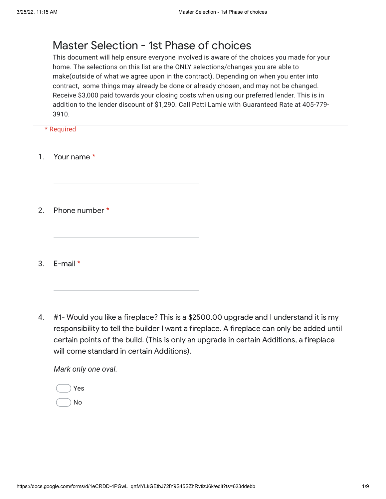## Master Selection - 1st Phase of choices

This document will help ensure everyone involved is aware of the choices you made for your home. The selections on this list are the ONLY selections/changes you are able to make(outside of what we agree upon in the contract). Depending on when you enter into contract, some things may already be done or already chosen, and may not be changed. Receive \$3,000 paid towards your closing costs when using our preferred lender. This is in addition to the lender discount of \$1,290. Call Patti Lamle with Guaranteed Rate at 405-779- 3910.

\* Required

- 1. Your name \*
- 2. Phone number \*
- 3. E-mail \*
- 4. #1- Would you like a fireplace? This is a \$2500.00 upgrade and I understand it is my responsibility to tell the builder I want a fireplace. A fireplace can only be added until certain points of the build. (This is only an upgrade in certain Additions, a fireplace will come standard in certain Additions).

*Mark only one oval.*

| Yes |  |
|-----|--|
| No  |  |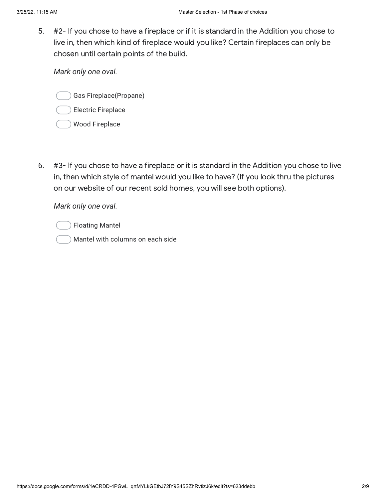5. #2- If you chose to have a fireplace or if it is standard in the Addition you chose to live in, then which kind of fireplace would you like? Certain fireplaces can only be chosen until certain points of the build.

*Mark only one oval.*

Gas Fireplace(Propane)

- Electric Fireplace
- Wood Fireplace
- 6. #3- If you chose to have a fireplace or it is standard in the Addition you chose to live in, then which style of mantel would you like to have? (If you look thru the pictures on our website of our recent sold homes, you will see both options).

*Mark only one oval.*

Floating Mantel

Mantel with columns on each side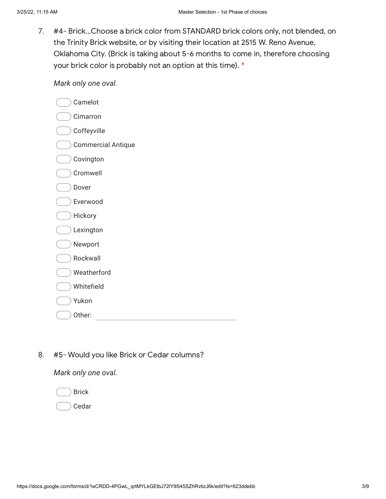7. #4- Brick...Choose a brick color from STANDARD brick colors only, not blended, on the Trinity Brick website, or by visiting their location at 2515 W. Reno Avenue, Oklahoma City. (Brick is taking about 5-6 months to come in, therefore choosing your brick color is probably not an option at this time). \*

*Mark only one oval.*

| Camelot                   |
|---------------------------|
| Cimarron                  |
| Coffeyville               |
| <b>Commercial Antique</b> |
| Covington                 |
| Cromwell                  |
| Dover                     |
| Everwood                  |
| Hickory                   |
| Lexington                 |
| Newport                   |
| Rockwall                  |
| Weatherford               |
| Whitefield                |
| Yukon                     |
| Other:                    |

8. #5- Would you like Brick or Cedar columns?

*Mark only one oval.*

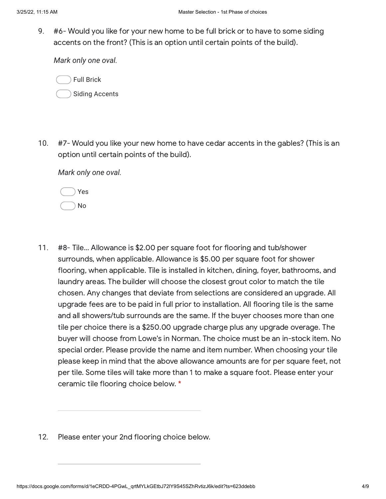9. #6- Would you like for your new home to be full brick or to have to some siding accents on the front? (This is an option until certain points of the build).

*Mark only one oval.*

Full Brick Siding Accents

10. #7- Would you like your new home to have cedar accents in the gables? (This is an option until certain points of the build).

*Mark only one oval.*

|  | Yes     |
|--|---------|
|  | h<br>۱. |

- 11. #8- Tile… Allowance is \$2.00 per square foot for flooring and tub/shower surrounds, when applicable. Allowance is \$5.00 per square foot for shower flooring, when applicable. Tile is installed in kitchen, dining, foyer, bathrooms, and laundry areas. The builder will choose the closest grout color to match the tile chosen. Any changes that deviate from selections are considered an upgrade. All upgrade fees are to be paid in full prior to installation. All flooring tile is the same and all showers/tub surrounds are the same. If the buyer chooses more than one tile per choice there is a \$250.00 upgrade charge plus any upgrade overage. The buyer will choose from Lowe's in Norman. The choice must be an in-stock item. No special order. Please provide the name and item number. When choosing your tile please keep in mind that the above allowance amounts are for per square feet, not per tile. Some tiles will take more than 1 to make a square foot. Please enter your ceramic tile flooring choice below. \*
- 12. Please enter your 2nd flooring choice below.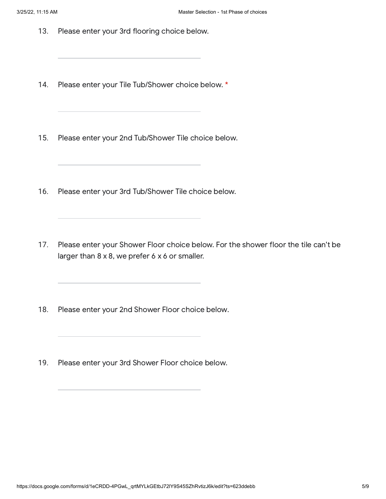- 13. Please enter your 3rd flooring choice below.
- 14. Please enter your Tile Tub/Shower choice below. \*
- 15. Please enter your 2nd Tub/Shower Tile choice below.
- 16. Please enter your 3rd Tub/Shower Tile choice below.
- 17. Please enter your Shower Floor choice below. For the shower floor the tile can't be larger than  $8 \times 8$ , we prefer  $6 \times 6$  or smaller.
- 18. Please enter your 2nd Shower Floor choice below.
- 19. Please enter your 3rd Shower Floor choice below.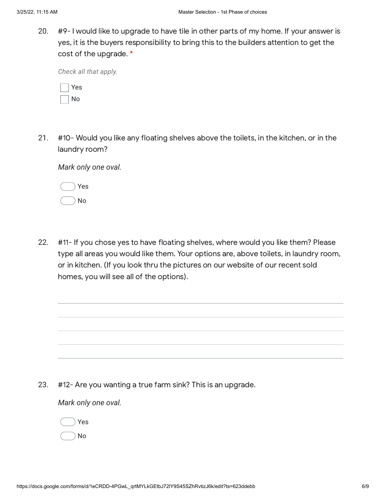20. #9- I would like to upgrade to have tile in other parts of my home. If your answer is yes, it is the buyers responsibility to bring this to the builders attention to get the cost of the upgrade. \*

*Check all that apply.*

| ÷ |
|---|
|   |

21. #10- Would you like any floating shelves above the toilets, in the kitchen, or in the laundry room?

*Mark only one oval.*

|  | Yes      |
|--|----------|
|  | $\Omega$ |

22. #11- If you chose yes to have floating shelves, where would you like them? Please type all areas you would like them. Your options are, above toilets, in laundry room, or in kitchen. (If you look thru the pictures on our website of our recent sold homes, you will see all of the options).

23. #12- Are you wanting a true farm sink? This is an upgrade.

## *Mark only one oval.*

Yes

No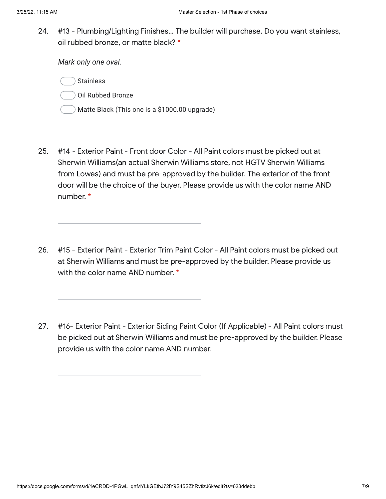24. #13 - Plumbing/Lighting Finishes… The builder will purchase. Do you want stainless, oil rubbed bronze, or matte black? \*

*Mark only one oval.*

**Stainless** 

Oil Rubbed Bronze

- Matte Black (This one is a \$1000.00 upgrade)
- 25. #14 - Exterior Paint - Front door Color - All Paint colors must be picked out at Sherwin Williams(an actual Sherwin Williams store, not HGTV Sherwin Williams from Lowes) and must be pre-approved by the builder. The exterior of the front door will be the choice of the buyer. Please provide us with the color name AND number. \*
- 26. #15 - Exterior Paint - Exterior Trim Paint Color - All Paint colors must be picked out at Sherwin Williams and must be pre-approved by the builder. Please provide us with the color name AND number. \*
- 27. #16- Exterior Paint - Exterior Siding Paint Color (If Applicable) - All Paint colors must be picked out at Sherwin Williams and must be pre-approved by the builder. Please provide us with the color name AND number.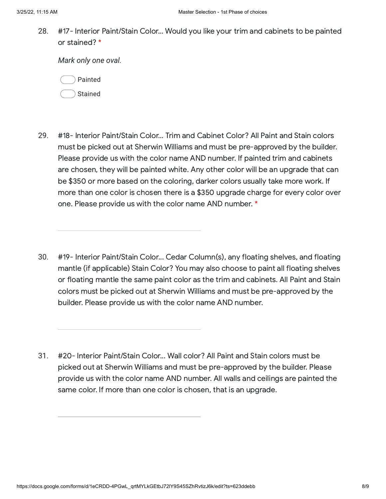28. #17- Interior Paint/Stain Color… Would you like your trim and cabinets to be painted or stained? \*

*Mark only one oval.*

Painted Stained

- 29. #18- Interior Paint/Stain Color… Trim and Cabinet Color? All Paint and Stain colors must be picked out at Sherwin Williams and must be pre-approved by the builder. Please provide us with the color name AND number. If painted trim and cabinets are chosen, they will be painted white. Any other color will be an upgrade that can be \$350 or more based on the coloring, darker colors usually take more work. If more than one color is chosen there is a \$350 upgrade charge for every color over one. Please provide us with the color name AND number. \*
- 30. #19- Interior Paint/Stain Color... Cedar Column(s), any floating shelves, and floating mantle (if applicable) Stain Color? You may also choose to paint all floating shelves or floating mantle the same paint color as the trim and cabinets. All Paint and Stain colors must be picked out at Sherwin Williams and must be pre-approved by the builder. Please provide us with the color name AND number.
- 31. #20- Interior Paint/Stain Color... Wall color? All Paint and Stain colors must be picked out at Sherwin Williams and must be pre-approved by the builder. Please provide us with the color name AND number. All walls and ceilings are painted the same color. If more than one color is chosen, that is an upgrade.